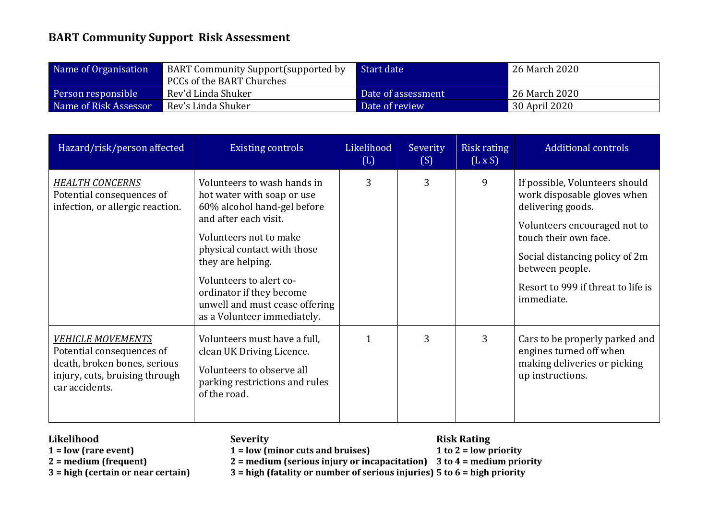## **BART Community Support Risk Assessment**

| Name of Organisation  | <b>BART Community Support (supported by</b><br>PCCs of the BART Churches | Start date         | 26 March 2020 |
|-----------------------|--------------------------------------------------------------------------|--------------------|---------------|
| Person responsible    | Rev'd Linda Shuker                                                       | Date of assessment | 26 March 2020 |
| Name of Risk Assessor | Rev's Linda Shuker                                                       | Date of review     | 30 April 2020 |

| Hazard/risk/person affected                                                                                                               | <b>Existing controls</b>                                                                                                                                                                                                                                                                                                | Likelihood<br>(L) | Severity<br>(S) | Risk rating<br>$(L \times S)$ | <b>Additional controls</b>                                                                                                                                                                                                                           |
|-------------------------------------------------------------------------------------------------------------------------------------------|-------------------------------------------------------------------------------------------------------------------------------------------------------------------------------------------------------------------------------------------------------------------------------------------------------------------------|-------------------|-----------------|-------------------------------|------------------------------------------------------------------------------------------------------------------------------------------------------------------------------------------------------------------------------------------------------|
| <b>HEALTH CONCERNS</b><br>Potential consequences of<br>infection, or allergic reaction.                                                   | Volunteers to wash hands in<br>hot water with soap or use<br>60% alcohol hand-gel before<br>and after each visit.<br>Volunteers not to make<br>physical contact with those<br>they are helping.<br>Volunteers to alert co-<br>ordinator if they become<br>unwell and must cease offering<br>as a Volunteer immediately. | 3                 | 3               | 9                             | If possible, Volunteers should<br>work disposable gloves when<br>delivering goods.<br>Volunteers encouraged not to<br>touch their own face.<br>Social distancing policy of 2m<br>between people.<br>Resort to 999 if threat to life is<br>immediate. |
| <b>VEHICLE MOVEMENTS</b><br>Potential consequences of<br>death, broken bones, serious<br>injury, cuts, bruising through<br>car accidents. | Volunteers must have a full,<br>clean UK Driving Licence.<br>Volunteers to observe all<br>parking restrictions and rules<br>of the road.                                                                                                                                                                                | 1                 | 3               | 3                             | Cars to be properly parked and<br>engines turned off when<br>making deliveries or picking<br>up instructions.                                                                                                                                        |

- 
- 

**Likelihood**<br> **Severity**<br> **Severity**<br> **Severity**<br> **Severity**<br> **Severity**<br> **Example 1** to 2 = low priority 1 = low (rare event)<br>
2 = medium (frequent)<br>
2 = medium (serious injury or inc

**2 = medium (frequent) 2 = medium (serious injury or incapacitation) 3 to 4 = medium priority**

**3 = high (certain or near certain) 3 = high (fatality or number of serious injuries) 5 to 6 = high priority**